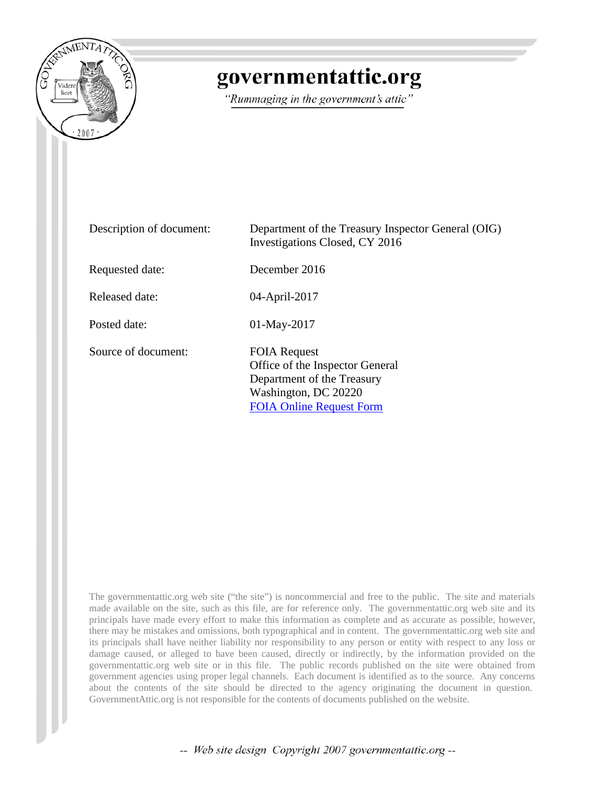

## governmentattic.org

"Rummaging in the government's attic"

| Description of document: | Department of the Treasury Inspector General (OIG)<br>Investigations Closed, CY 2016                                                            |
|--------------------------|-------------------------------------------------------------------------------------------------------------------------------------------------|
| Requested date:          | December 2016                                                                                                                                   |
| Released date:           | 04-April-2017                                                                                                                                   |
| Posted date:             | $01$ -May-2017                                                                                                                                  |
| Source of document:      | <b>FOIA Request</b><br>Office of the Inspector General<br>Department of the Treasury<br>Washington, DC 20220<br><b>FOIA Online Request Form</b> |

The governmentattic.org web site ("the site") is noncommercial and free to the public. The site and materials made available on the site, such as this file, are for reference only. The governmentattic.org web site and its principals have made every effort to make this information as complete and as accurate as possible, however, there may be mistakes and omissions, both typographical and in content. The governmentattic.org web site and its principals shall have neither liability nor responsibility to any person or entity with respect to any loss or damage caused, or alleged to have been caused, directly or indirectly, by the information provided on the governmentattic.org web site or in this file. The public records published on the site were obtained from government agencies using proper legal channels. Each document is identified as to the source. Any concerns about the contents of the site should be directed to the agency originating the document in question. GovernmentAttic.org is not responsible for the contents of documents published on the website.

-- Web site design Copyright 2007 governmentattic.org --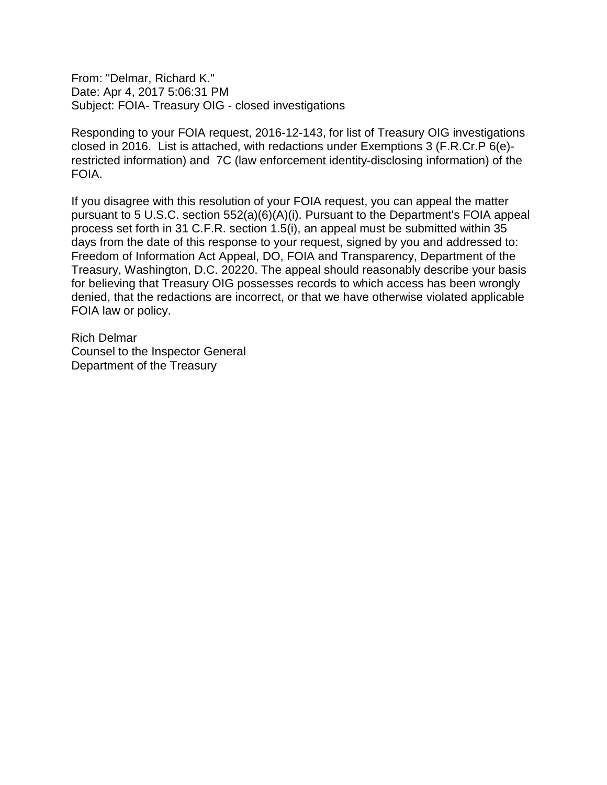From: "Delmar, Richard K." Date: Apr 4, 2017 5:06:31 PM Subject: FOIA- Treasury OIG - closed investigations

Responding to your FOIA request, 2016-12-143, for list of Treasury OIG investigations closed in 2016. List is attached, with redactions under Exemptions 3 (F.R.Cr.P 6(e) restricted information) and 7C (law enforcement identity-disclosing information) of the FOIA.

If you disagree with this resolution of your FOIA request, you can appeal the matter pursuant to 5 U.S.C. section 552(a)(6)(A)(i). Pursuant to the Department's FOIA appeal process set forth in 31 C.F.R. section 1.5(i), an appeal must be submitted within 35 days from the date of this response to your request, signed by you and addressed to: Freedom of Information Act Appeal, DO, FOIA and Transparency, Department of the Treasury, Washington, D.C. 20220. The appeal should reasonably describe your basis for believing that Treasury OIG possesses records to which access has been wrongly denied, that the redactions are incorrect, or that we have otherwise violated applicable FOIA law or policy.

Rich Delmar Counsel to the Inspector General Department of the Treasury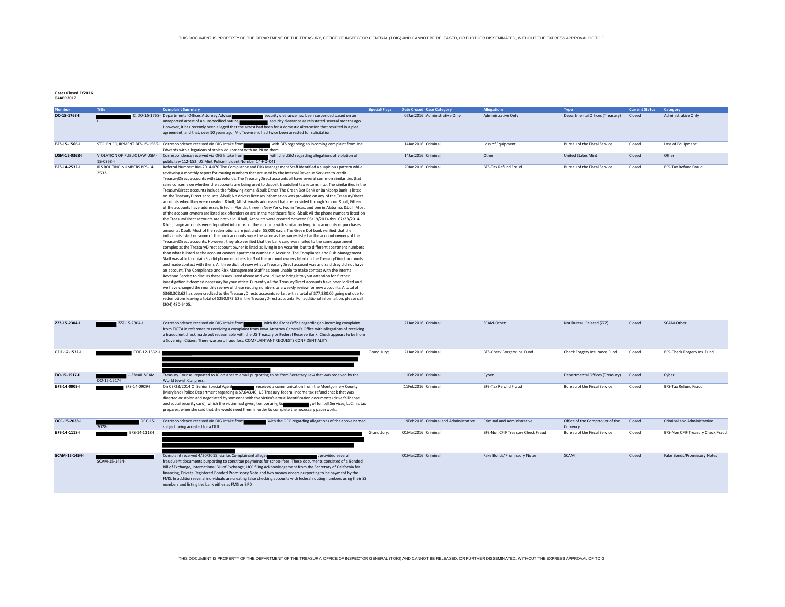**Cases Closed FY2016 04APR2017**

| lumber<br>DO-15-1768-I | Title                                    | <b>Complaint Summary</b><br>C. DO-15-1768- Departmental Offices Attorney Advisor<br>security clearance had been suspended based on an<br>unreported arrest of an unspecified nature;<br>security clearance as reinstated several months ago.<br>However, it has recently been alleged that the arrest had been for a domestic altercation that resulted in a plea<br>agreement, and that, over 10 years ago, Mr. Townsend had twice been arrested for solicitation.                                                                                                                                                                                                                                                                                                                                                                                                                                                                                                                                                                                                                                                                                                                                                                                                                                                                                                                                                                                                                                                                                                                                                                                                                                                                                                                                                                                                                                                                                                                                                                                                                                                                                                                                                                                                                                                                                                                                                                                                                                                                                                                                                                                                                                                                                                                                                  |             | <b>Special Flags Date Closed Case Category</b><br>07Jan2016 Administrative Only | <b>Allegations</b><br>Administrative Only | <b>Type</b><br>Departmental Offices (Treasury) | <b>Current Status</b><br>Closed | Category<br><b>Administrative Only</b> |
|------------------------|------------------------------------------|----------------------------------------------------------------------------------------------------------------------------------------------------------------------------------------------------------------------------------------------------------------------------------------------------------------------------------------------------------------------------------------------------------------------------------------------------------------------------------------------------------------------------------------------------------------------------------------------------------------------------------------------------------------------------------------------------------------------------------------------------------------------------------------------------------------------------------------------------------------------------------------------------------------------------------------------------------------------------------------------------------------------------------------------------------------------------------------------------------------------------------------------------------------------------------------------------------------------------------------------------------------------------------------------------------------------------------------------------------------------------------------------------------------------------------------------------------------------------------------------------------------------------------------------------------------------------------------------------------------------------------------------------------------------------------------------------------------------------------------------------------------------------------------------------------------------------------------------------------------------------------------------------------------------------------------------------------------------------------------------------------------------------------------------------------------------------------------------------------------------------------------------------------------------------------------------------------------------------------------------------------------------------------------------------------------------------------------------------------------------------------------------------------------------------------------------------------------------------------------------------------------------------------------------------------------------------------------------------------------------------------------------------------------------------------------------------------------------------------------------------------------------------------------------------------------------|-------------|---------------------------------------------------------------------------------|-------------------------------------------|------------------------------------------------|---------------------------------|----------------------------------------|
| BFS-15-1566-I          |                                          | STOLEN EQUIPMENT BFS-15-1566-I Correspondence received via OIG Intake from<br>with BFS regarding an incoming complaint from Joe<br>Edwards with allegations of stolen equipment with no PII on them                                                                                                                                                                                                                                                                                                                                                                                                                                                                                                                                                                                                                                                                                                                                                                                                                                                                                                                                                                                                                                                                                                                                                                                                                                                                                                                                                                                                                                                                                                                                                                                                                                                                                                                                                                                                                                                                                                                                                                                                                                                                                                                                                                                                                                                                                                                                                                                                                                                                                                                                                                                                                  |             | 14Jan2016 Criminal                                                              | Loss of Equipment                         | Bureau of the Fiscal Service                   | Closed                          | Loss of Equipment                      |
| USM-15-0368-I          | VIOLATION OF PUBLIC LAW USM-<br>15-0368- | Correspondence received via OIG Intake from<br>with the USM regarding allegations of violation of<br>public law 112-152. US Mint Police Incident Number 14-HQ-041                                                                                                                                                                                                                                                                                                                                                                                                                                                                                                                                                                                                                                                                                                                                                                                                                                                                                                                                                                                                                                                                                                                                                                                                                                                                                                                                                                                                                                                                                                                                                                                                                                                                                                                                                                                                                                                                                                                                                                                                                                                                                                                                                                                                                                                                                                                                                                                                                                                                                                                                                                                                                                                    |             | 14Jan2016 Criminal                                                              | Other                                     | <b>United States Mint</b>                      | Closed                          | Other                                  |
| BFS-14-2532-I          | IRS ROUTING NUMBERS BFS-14-<br>2532-1    | Referral Number: RM-2014-076 The Compliance and Risk Management Staff identified a suspicious pattern while<br>reviewing a monthly report for routing numbers that are used by the Internal Revenue Services to credit<br>TreasuryDirect accounts with tax refunds. The TreasuryDirect accounts all have several common similarities that<br>raise concerns on whether the accounts are being used to deposit fraudulent tax returns into. The similarities in the<br>TreasuryDirect accounts include the following items: • Either The Green Dot Bank or Bankcorp Bank is listed<br>on the TreasuryDirect accounts. • No drivers licenses information was provided on any of the TreasuryDirect<br>accounts when they were created. • All list emails addresses that are provided through Yahoo. • Fifteen<br>of the accounts have addresses, listed in Florida, three in New York, two in Texas, and one in Alabama. • Most<br>of the account owners are listed sex offenders or are in the healthcare field. • All the phone numbers listed on<br>the TreasuryDirect accounts are not valid. • Accounts were created between 05/19/2014 thru 07/23/2014.<br>• Large amounts were deposited into most of the accounts with similar redemptions amounts or purchases<br>amounts. • Most of the redemptions are just under \$5,000 each. The Green Dot bank verified that the<br>individuals listed on some of the bank accounts were the same as the names listed as the account owners of the<br>TreasuryDirect accounts. However, they also verified that the bank card was mailed to the same apartment<br>complex as the TreasuryDirect account owner is listed as living in on Accurint, but to different apartment numbers<br>than what is listed as the account owners apartment number in Accurint. The Compliance and Risk Management<br>Staff was able to obtain 3 valid phone numbers for 3 of the account owners listed on the TreasuryDirect accounts<br>and made contact with them. All three did not now what a TreasuryDirect account was and said they did not have<br>an account. The Compliance and Risk Management Staff has been unable to make contact with the Internal<br>Revenue Service to discuss these issues listed above and would like to bring it to your attention for further<br>investigation if deemed necessary by your office. Currently all the TreasuryDirect accounts have been locked and<br>we have changed the monthly review of these routing numbers to a weekly review for new accounts. A total of<br>\$368,302.62 has been credited to the TreasuryDirects accounts so far, with a total of \$77,330.00 going out due to<br>redemptions leaving a total of \$290,972.62 in the TreasuryDirect accounts. For additional information, please call<br>(304) 480-6405. |             | 20Jan2016 Criminal                                                              | BFS-Tax Refund Fraud                      | Bureau of the Fiscal Service                   | Closed                          | BFS-Tax Refund Fraud                   |
| ZZZ-15-2304-I          | ZZZ-15-2304-I                            | Correspondence received via OIG Intake from with the Front Office regarding an incoming complaint<br>from TIGTA in reference to receiving a complaint from lowa Attorney General's Office with allegations of receiving<br>a fraudulent check made out redeemable with the US Treasury or Federal Reserve Bank. Check appears to be from<br>a Sovereign Citizen. There was zero fraud loss. COMPLAINTANT REQUESTS CONFIDENTIALITY                                                                                                                                                                                                                                                                                                                                                                                                                                                                                                                                                                                                                                                                                                                                                                                                                                                                                                                                                                                                                                                                                                                                                                                                                                                                                                                                                                                                                                                                                                                                                                                                                                                                                                                                                                                                                                                                                                                                                                                                                                                                                                                                                                                                                                                                                                                                                                                    |             | 21Jan2016 Criminal                                                              | SCAM-Other                                | Not Bureau Related (ZZZ)                       | Closed                          | SCAM-Other                             |
| CFIF-12-1532-I         | CFIF-12-1532-I                           |                                                                                                                                                                                                                                                                                                                                                                                                                                                                                                                                                                                                                                                                                                                                                                                                                                                                                                                                                                                                                                                                                                                                                                                                                                                                                                                                                                                                                                                                                                                                                                                                                                                                                                                                                                                                                                                                                                                                                                                                                                                                                                                                                                                                                                                                                                                                                                                                                                                                                                                                                                                                                                                                                                                                                                                                                      | Grand Jury; | 21Jan2016 Criminal                                                              | BFS-Check Forgery Ins. Fund               | Check Forgery Insurance Fund                   | Closed                          | BFS-Check Forgery Ins. Fund            |
| DO-15-1517-I           | -- EMAIL SCAM<br>DO-15-1517-             | Treasury Counsel reported to IG on a scam email purporting to be from Secretary Lew that was received by the<br>World Jewish Congress.                                                                                                                                                                                                                                                                                                                                                                                                                                                                                                                                                                                                                                                                                                                                                                                                                                                                                                                                                                                                                                                                                                                                                                                                                                                                                                                                                                                                                                                                                                                                                                                                                                                                                                                                                                                                                                                                                                                                                                                                                                                                                                                                                                                                                                                                                                                                                                                                                                                                                                                                                                                                                                                                               |             | 11Feb2016 Criminal                                                              | Cyber                                     | Departmental Offices (Treasury)                | Closed                          | Cyber                                  |
| BFS-14-0909-I          | BFS-14-0909-I                            | On 03/28/2014 OI Senior Special Agent<br>received a communication from the Montgomery County<br>(Maryland) Police Department regarding a \$7,643.40, US Treasury federal income tax refund check that was<br>diverted or stolen and negotiated by someone with the victim's actual identification documents (driver's license<br>and social security card), which the victim had given, temporarily, to controll to the Junitell Services, LLC, his tax<br>preparer, when she said that she would need them in order to complete the necessary paperwork.                                                                                                                                                                                                                                                                                                                                                                                                                                                                                                                                                                                                                                                                                                                                                                                                                                                                                                                                                                                                                                                                                                                                                                                                                                                                                                                                                                                                                                                                                                                                                                                                                                                                                                                                                                                                                                                                                                                                                                                                                                                                                                                                                                                                                                                            |             | 11Feb2016 Criminal                                                              | BFS-Tax Refund Fraud                      | Bureau of the Fiscal Service                   | Closed                          | BFS-Tax Refund Fraud                   |
| OCC-15-2028-I          | OCC-15-<br>$2028 - 1$                    | Correspondence received via OIG Intake from<br>with the OCC regarding allegations of the above named<br>subject being arrested for a DUI                                                                                                                                                                                                                                                                                                                                                                                                                                                                                                                                                                                                                                                                                                                                                                                                                                                                                                                                                                                                                                                                                                                                                                                                                                                                                                                                                                                                                                                                                                                                                                                                                                                                                                                                                                                                                                                                                                                                                                                                                                                                                                                                                                                                                                                                                                                                                                                                                                                                                                                                                                                                                                                                             |             | 19Feb2016 Criminal and Administrative                                           | <b>Criminal and Administrative</b>        | Office of the Comptroller of the<br>Currency   | Closed                          | <b>Criminal and Administrative</b>     |
| BFS-14-1118-I          | BFS-14-1118-I                            |                                                                                                                                                                                                                                                                                                                                                                                                                                                                                                                                                                                                                                                                                                                                                                                                                                                                                                                                                                                                                                                                                                                                                                                                                                                                                                                                                                                                                                                                                                                                                                                                                                                                                                                                                                                                                                                                                                                                                                                                                                                                                                                                                                                                                                                                                                                                                                                                                                                                                                                                                                                                                                                                                                                                                                                                                      | Grand Jury; | 01Mar2016 Criminal                                                              | BFS-Non CFIF Treasury Check Fraud         | Bureau of the Fiscal Service                   | Closed                          | BFS-Non CFIF Treasury Check Fraud      |
| SCAM-15-1454-I         | SCAM-15-1454-I                           | Complaint received 4/20/2015, via fax Complainant alleges<br>provided several<br>fraudulent documents purporting to constitue payments for school fees. These documents consisted of a Bonded<br>Bill of Exchange, International Bill of Exchange, UCC filing Acknowledgement from the Secretary of California for<br>financing, Private Registered Bonded Promissory Note and two money orders purporting to be payment by the<br>FMS. In addition several individuals are creating false checking accounts with federal routing numbers using their SS<br>numbers and listing the bank either as FMS or BPD                                                                                                                                                                                                                                                                                                                                                                                                                                                                                                                                                                                                                                                                                                                                                                                                                                                                                                                                                                                                                                                                                                                                                                                                                                                                                                                                                                                                                                                                                                                                                                                                                                                                                                                                                                                                                                                                                                                                                                                                                                                                                                                                                                                                        |             | 01Mar2016 Criminal                                                              | Fake Bonds/Promissory Notes               | SCAM                                           | Closed                          | Fake Bonds/Promissory Notes            |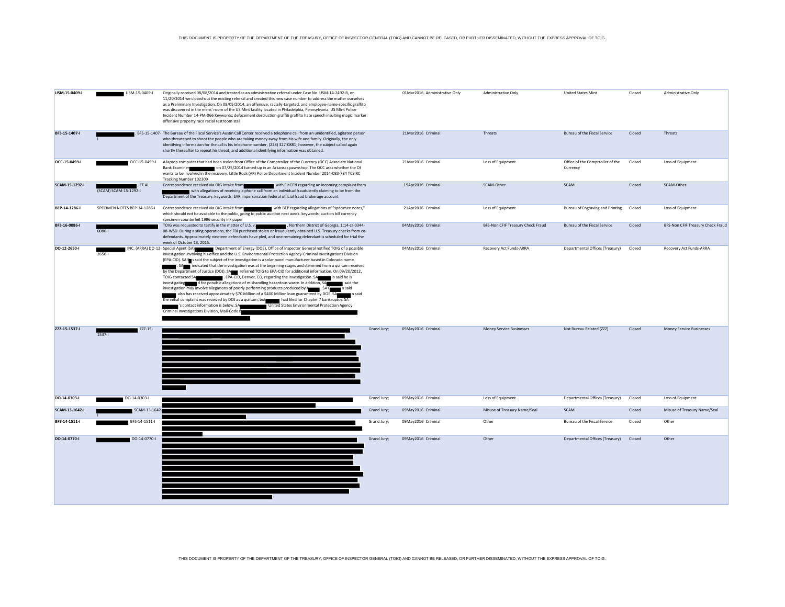| USM-15-0409-I  | USM-15-0409-I                         | Originally received 08/08/2014 and treated as an administrative referral under Case No. USM-14-2492-R, on<br>11/20/2014 we closed-out the existing referral and created this new case number to address the matter ourselves<br>as a Preliminary Investigation. On 08/05/2014, an offensive, racially-targeted, and employee-name-specific graffito<br>was discovered in the mens' room of the US Mint facility located in Philadelphia, Pennsylvania. US MInt Police<br>Incident Number 14-PM-066 Keywords: defacement destruction graffiti graffito hate speech insulting magic marker<br>offensive property race racial restroom stall                                                                                                                                                                                                                                                                                                                                                                                                                                                                                                                                                                                                                  |             | 01Mar2016 Administrative Only | Administrative Only               | <b>United States Mint</b>                    | Closed | Administrative Only               |
|----------------|---------------------------------------|------------------------------------------------------------------------------------------------------------------------------------------------------------------------------------------------------------------------------------------------------------------------------------------------------------------------------------------------------------------------------------------------------------------------------------------------------------------------------------------------------------------------------------------------------------------------------------------------------------------------------------------------------------------------------------------------------------------------------------------------------------------------------------------------------------------------------------------------------------------------------------------------------------------------------------------------------------------------------------------------------------------------------------------------------------------------------------------------------------------------------------------------------------------------------------------------------------------------------------------------------------|-------------|-------------------------------|-----------------------------------|----------------------------------------------|--------|-----------------------------------|
| BFS-15-1407-I  |                                       | BFS-15-1407- The Bureau of the Fiscal Service's Austin Call Center received a telephone call from an unidentified, agitated person<br>who threatened to shoot the people who are taking money away from his wife and family. Originally, the only<br>identifying information for the call is his telephone number, (228) 327-0881; however, the subject called again<br>shortly thereafter to repeat his threat, and additional identifying information was obtained.                                                                                                                                                                                                                                                                                                                                                                                                                                                                                                                                                                                                                                                                                                                                                                                      |             | 21Mar2016 Criminal            | Threats                           | <b>Bureau of the Fiscal Service</b>          | Closed | <b>Threats</b>                    |
| OCC-15-0499-I  | OCC-15-0499-I                         | A laptop computer that had been stolen from Office of the Comptroller of the Currency (OCC) Associate National<br>on 07/25/2014 turned-up in an Arkansas pawnshop. The OCC asks whether the OI<br><b>Bank Examiner</b><br>wants to be involved in the recovery. Little Rock (AR) Police Department Incident Number 2014-083-784 TCSIRC<br>Tracking Number 102309                                                                                                                                                                                                                                                                                                                                                                                                                                                                                                                                                                                                                                                                                                                                                                                                                                                                                           |             | 21Mar2016 Criminal            | Loss of Equipment                 | Office of the Comptroller of the<br>Currency | Closed | Loss of Equipment                 |
| SCAM-15-1292-I | $F$ . ET AL.<br>(SCAM) SCAM-15-1292-I | Correspondence received via OIG Intake from with FinCEN regarding an incoming complaint from<br>with allegations of receiving a phone call from an individual fraudulently claiming to be from the<br>Department of the Treasury. keywords: SAR impersonation federal official fraud brokerage account                                                                                                                                                                                                                                                                                                                                                                                                                                                                                                                                                                                                                                                                                                                                                                                                                                                                                                                                                     |             | 19Apr2016 Criminal            | SCAM-Other                        | SCAM                                         | Closed | SCAM-Other                        |
| BEP-14-1286-I  | SPECIMEN NOTES BEP-14-1286-I          | Correspondence received via OIG Intake from with BEP regarding allegations of "specimen notes,"<br>which should not be available to the public, going to public auction next week. keywords: auction bill currency<br>specimen counterfeit 1996 security ink paper                                                                                                                                                                                                                                                                                                                                                                                                                                                                                                                                                                                                                                                                                                                                                                                                                                                                                                                                                                                         |             | 21Apr2016 Criminal            | Loss of Equipment                 | Bureau of Engraving and Printing             | Closed | Loss of Equipment                 |
| BFS-16-0086-I  | $0086 - 1$                            | TOIG was requested to testify in the matter of U.S. v.<br>, Northern District of Georgia, 1:14-cr-0344-<br>08-WSD. During a sting operations, the FBI purchased stolen or fraudulently obtained U.S. Treasury checks from co-<br>defendants. Approximately nineteen defendants have pled, and one remaining defendant is scheduled for trial the<br>week of October 13, 2015.                                                                                                                                                                                                                                                                                                                                                                                                                                                                                                                                                                                                                                                                                                                                                                                                                                                                              |             | 04May2016 Criminal            | BFS-Non CFIF Treasury Check Fraud | Bureau of the Fiscal Service                 | Closed | BFS-Non CFIF Treasury Check Fraud |
| DO-12-2650-I   | 2650-                                 | INC. (ARRA) DO-12- Special Agent (SA) Department of Energy (DOE), Office of Inspector General notified TOIG of a possible<br>investigation involving his office and the U.S. Environmental Protection Agency-Criminal Investigations Division<br>(EPA-CID). SA In said the subject of the investigation is a solar panel manufacturer based in Colorado name<br>. SAM indicated that the investigation was at the beginning stages and stemmed from a qui tam received<br>by the Department of Justice (DOJ). SA referred TOIG to EPA-CID for additional information. On 09/20/2012,<br>TOIG contacted SA<br>, EPA-CID, Denver, CO, regarding the investigation. SA in said he is<br>investigating d for possible allegations of mishandling hazardous waste. In addition, SA<br>said the<br>investigation may involve allegations of poorly performing products produced by Assessment CA C<br>n said<br>also has received approximately \$70 Million of a \$400 Million loan guaranteed by DOE. SA<br>n said<br>the initial complaint was received by DOJ as a qui tam, but had filed for Chapter 7 bankruptcy. SA<br>'s contact information is below. SA United States Environmental Protection Agency<br>Criminal Investigations Division, Mail-Code 8 |             | 04May2016 Criminal            | Recovery Act Funds-ARRA           | Departmental Offices (Treasury)              | Closed | Recovery Act Funds-ARRA           |
| ZZZ-15-1537-I  | ZZZ-15-<br>$1537 -$                   |                                                                                                                                                                                                                                                                                                                                                                                                                                                                                                                                                                                                                                                                                                                                                                                                                                                                                                                                                                                                                                                                                                                                                                                                                                                            | Grand Jury; | 05May2016 Criminal            | Money Service Businesses          | Not Bureau Related (ZZZ)                     | Closed | Money Service Businesses          |
| DO-14-0303-I   | DO-14-0303-I                          |                                                                                                                                                                                                                                                                                                                                                                                                                                                                                                                                                                                                                                                                                                                                                                                                                                                                                                                                                                                                                                                                                                                                                                                                                                                            | Grand Jury; | 09May2016 Criminal            | Loss of Equipment                 | Departmental Offices (Treasury)              | Closed | Loss of Equipment                 |
| SCAM-13-1642-I | SCAM-13-164                           |                                                                                                                                                                                                                                                                                                                                                                                                                                                                                                                                                                                                                                                                                                                                                                                                                                                                                                                                                                                                                                                                                                                                                                                                                                                            | Grand Jury; | 09May2016 Criminal            | Misuse of Treasury Name/Seal      | SCAM                                         | Closed | Misuse of Treasury Name/Seal      |
| BFS-14-1511-I  | BFS-14-1511-I                         |                                                                                                                                                                                                                                                                                                                                                                                                                                                                                                                                                                                                                                                                                                                                                                                                                                                                                                                                                                                                                                                                                                                                                                                                                                                            | Grand Jury; | 09May2016 Criminal            | Other                             | Bureau of the Fiscal Service                 | Closed | Other                             |
| DO-14-0770-I   | DO-14-0770-I                          |                                                                                                                                                                                                                                                                                                                                                                                                                                                                                                                                                                                                                                                                                                                                                                                                                                                                                                                                                                                                                                                                                                                                                                                                                                                            | Grand Jury; | 09May2016 Criminal            | Other                             | Departmental Offices (Treasury)              | Closed | Other                             |

THIS DOCUMENT IS PROPERTY OF THE DEPARTMENT OF THE TREASURY, OFFICE OF INSPECTOR GENERAL (TOIG) AND CANNOT BE RELEASED, OR FURTHER DISSEMINATED, WITHOUT THE EXPRESS APPROVAL OF TOIG.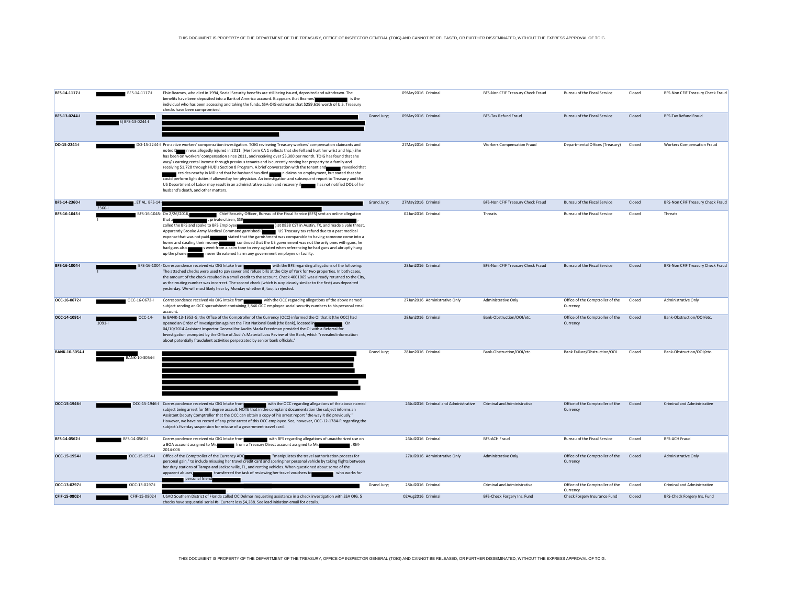| BFS-14-1117-I         | BFS-14-1117-I          | Elsie Beames, who died in 1994, Social Security benefits are still being issued, deposited and withdrawn. The<br>benefits have been deposited into a Bank of America account. It appears that Beames'<br>∎isthe<br>individual who has been accessing and taking the funds. SSA-OIG estimates that \$259,616 worth of U.S. Treasury<br>checks have been compromised.                                                                                                                                                                                                                                                                                                                                                                                                                                                                                                                                                                                                    |             | 09May2016 Criminal                    | BFS-Non CFIF Treasury Check Fraud  | Bureau of the Fiscal Service                 | Closed | BFS-Non CFIF Treasury Check Fraud  |
|-----------------------|------------------------|------------------------------------------------------------------------------------------------------------------------------------------------------------------------------------------------------------------------------------------------------------------------------------------------------------------------------------------------------------------------------------------------------------------------------------------------------------------------------------------------------------------------------------------------------------------------------------------------------------------------------------------------------------------------------------------------------------------------------------------------------------------------------------------------------------------------------------------------------------------------------------------------------------------------------------------------------------------------|-------------|---------------------------------------|------------------------------------|----------------------------------------------|--------|------------------------------------|
| BFS-13-0244-I         | ) BFS-13-0244-I        |                                                                                                                                                                                                                                                                                                                                                                                                                                                                                                                                                                                                                                                                                                                                                                                                                                                                                                                                                                        | Grand Jury; | 09May2016 Criminal                    | <b>BFS-Tax Refund Fraud</b>        | Bureau of the Fiscal Service                 | Closed | BFS-Tax Refund Fraud               |
| DO-15-2244-I          |                        | DO-15-2244-I Pro-active workers' compensation investigation. TOIG reviewing Treasury workers' compensation claimants and<br>noted Down as allegedly injured in 2011. (Her form CA 1 reflects that she fell and hurt her wrist and hip.) She<br>has been on workers' compensation since 2011, and receiving over \$3,300 per month. TOIG has found that she<br>was/is earning rental income through previous tenants and is currently renting her property to a family and<br>receiving \$1,728 through HUD's Section 8 Program. A brief conversation with the tenant and revealed that<br>resides nearby in MD and that he husband has died. The n claims no employment, but stated that she<br>could perform light duties if allowed by her physician. An investigation and subsequent report to Treasury and the<br>US Department of Labor may result in an administrative action and recovery if has not notified DOL of her<br>husband's death, and other matters. |             | 27May2016 Criminal                    | <b>Workers Compensation Fraud</b>  | Departmental Offices (Treasury)              | Closed | <b>Workers Compensation Fraud</b>  |
| BFS-14-2360-I         | ET AL. BFS-14<br>2360- |                                                                                                                                                                                                                                                                                                                                                                                                                                                                                                                                                                                                                                                                                                                                                                                                                                                                                                                                                                        | Grand Jury; | 27May2016 Criminal                    | BFS-Non CFIF Treasury Check Fraud  | Bureau of the Fiscal Service                 | Closed | BFS-Non CFIF Treasury Check Fraud  |
| BFS-16-1045-I         |                        | BFS-16-1045- On 2/26/2016,<br>Chief Security Officer, Bureau of the Fiscal Service (BFS) sent an online allegation<br>, private citizen, SS#<br>that a<br>called the BFS and spoke to BFS Employee<br>) at 0838 CST in Austin, TX, and made a vale threat.<br>Apparently Brooke Army Medical Command garnished Community US Treasury tax refund due to a past medical<br>expense that was not paid. stated that the garnishment was comparable to having someone come into a<br>home and stealing their money. continued that the US government was not the only ones with guns, he<br>had guns also. so see the swent from a calm tone to very agitated when referencing he had guns and abruptly hung<br>never threatened harm any government employee or facility.<br>up the phone.                                                                                                                                                                                 |             | 02Jun2016 Criminal                    | Threats                            | Bureau of the Fiscal Service                 | Closed | Threats                            |
| BFS-16-1004-I         |                        | BFS-16-1004 Correspondence received via OIG Intake from view with the BFS regarding allegations of the following:<br>The attached checks were used to pay sewer and refuse bills at the City of York for two properties. In both cases,<br>the amount of the check resulted in a small credit to the account. Check 4001065 was already returned to the City,<br>as the routing number was incorrect. The second check (which is suspiciously similar to the first) was deposited<br>yesterday. We will most likely hear by Monday whether it, too, is rejected.                                                                                                                                                                                                                                                                                                                                                                                                       |             | 23Jun2016 Criminal                    | BFS-Non CFIF Treasury Check Fraud  | Bureau of the Fiscal Service                 | Closed | BFS-Non CFIF Treasury Check Fraud  |
| OCC-16-0672-I         | OCC-16-0672-I          | Correspondence received via OIG Intake from with the OCC regarding allegations of the above named<br>subject sending an OCC spreadsheet containing 3,846 OCC employee social security numbers to his personal email<br>account.                                                                                                                                                                                                                                                                                                                                                                                                                                                                                                                                                                                                                                                                                                                                        |             | 27Jun2016 Administrative Only         | Administrative Only                | Office of the Comptroller of the<br>Currency | Closed | <b>Administrative Only</b>         |
| OCC-14-1091-I         | OCC-14-<br>$1091 -$    | In BANK-13-1953-G, the Office of the Comptroller of the Currency (OCC) informed the OI that it (the OCC) had<br>opened an Order of Investigation against the First National Bank (the Bank), located in<br>04/10/2014 Assistant Inspector General for Audits Marla Freedman provided the OI with a Referral for<br>Investigation prompted by the Office of Audit's Material Loss Review of the Bank, which "revealed information<br>about potentially fraudulent activities perpetrated by senior bank officials."                                                                                                                                                                                                                                                                                                                                                                                                                                                     |             | 28Jun2016 Criminal                    | Bank-Obstruction/OOI/etc.          | Office of the Comptroller of the<br>Currency | Closed | Bank-Obstruction/OOI/etc.          |
| <b>BANK-10-3054-I</b> | BANK-10-3054-I         |                                                                                                                                                                                                                                                                                                                                                                                                                                                                                                                                                                                                                                                                                                                                                                                                                                                                                                                                                                        | Grand Jury; | 28Jun2016 Criminal                    | Bank-Obstruction/OOI/etc.          | Bank Failure/Obstruction/OOI                 | Closed | Bank-Obstruction/OOI/etc.          |
| OCC-15-1946-I         |                        | OCC-15-1946-I Correspondence received via OIG Intake from with the OCC regarding allegations of the above named<br>subject being arrest for 5th degree assault. NOTE that in the complaint documentation the subject informs an<br>Assistant Deputy Comptroller that the OCC can obtain a copy of his arrest report "the way it did previously."<br>However, we have no record of any prior arrest of this OCC employee. See, however, OCC-12-1784-R regarding the<br>subject's five-day suspension for misuse of a government travel card.                                                                                                                                                                                                                                                                                                                                                                                                                            |             | 26Jul2016 Criminal and Administrative | <b>Criminal and Administrative</b> | Office of the Comptroller of the<br>Currency | Closed | <b>Criminal and Administrative</b> |
| BFS-14-0562-I         | BFS-14-0562-I          | Correspondence received via OIG Intake from with BFS regarding allegations of unauthorized use on<br>a BOA account assigned to Mr. The Treasury Direct account assigned to Mr.<br>2014-006                                                                                                                                                                                                                                                                                                                                                                                                                                                                                                                                                                                                                                                                                                                                                                             |             | 26Jul2016 Criminal                    | <b>BFS-ACH Fraud</b>               | Bureau of the Fiscal Service                 | Closed | <b>BFS-ACH Fraud</b>               |
| OCC-15-1954-I         | OCC-15-1954-I          | Office of the Comptroller of the Currency ADC The Transponsible the travel authorization process for<br>personal gain," to include misusing her travel credit card and sparing her personal vehicle by taking flights between<br>her duty stations of Tampa and Jacksonville, FL, and renting vehicles. When questioned about some of the<br>transferred the task of reviewing her travel vouchers to who works for<br>apparent abuses.<br>personal friend                                                                                                                                                                                                                                                                                                                                                                                                                                                                                                             |             | 27Jul2016 Administrative Only         | Administrative Only                | Office of the Comptroller of the<br>Currency | Closed | <b>Administrative Only</b>         |
| OCC-13-0297-I         | OCC-13-0297-I          |                                                                                                                                                                                                                                                                                                                                                                                                                                                                                                                                                                                                                                                                                                                                                                                                                                                                                                                                                                        | Grand Jury: | 28Jul2016 Criminal                    | Criminal and Administrative        | Office of the Comptroller of the<br>Currency | Closed | Criminal and Administrative        |
| CFIF-15-0802-I        | CFIF-15-0802-I         | USAO Southern District of Florida called OC Delmar requesting assistance in a check investigation with SSA OIG. 5<br>checks have sequential serial #s. Current loss \$4,288. See lead initiation email for details.                                                                                                                                                                                                                                                                                                                                                                                                                                                                                                                                                                                                                                                                                                                                                    |             | 02Aug2016 Criminal                    | BFS-Check Forgery Ins. Fund        | Check Forgery Insurance Fund                 | Closed | BFS-Check Forgery Ins. Fund        |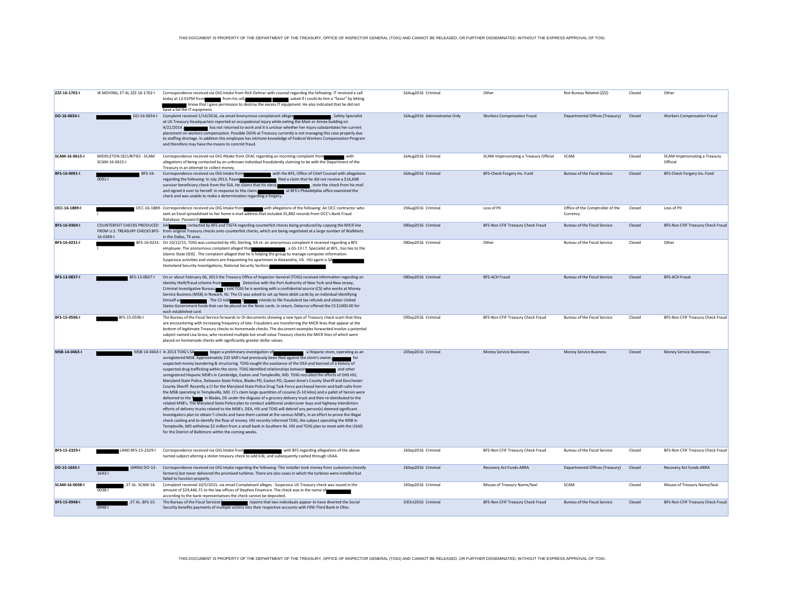| ZZZ-16-1702-I  | JK MOVING, ET AL ZZZ-16-1702-I                | Correspondence received via OIG Intake from Rich Delmar with counsel regarding the following: IT received a call<br>today at 12:01PM from From his cell,<br>asked if I could do him a "favor" by letting<br>know that I gave permission to destroy the excess IT equipment. He also indicated that he did not<br>have a list the IT equipment.                                                                                                                                                                                                                                                                                                                                                                                                                                                                                                                                                                                                                                                                                                                                                                                                                                                                                                                                                                                                                                                                                                                                                                                                                                                                                                                                          | 16Aug2016 Criminal            | Other                                  | Not Bureau Related (ZZZ)                     | Closed | Other                                     |
|----------------|-----------------------------------------------|-----------------------------------------------------------------------------------------------------------------------------------------------------------------------------------------------------------------------------------------------------------------------------------------------------------------------------------------------------------------------------------------------------------------------------------------------------------------------------------------------------------------------------------------------------------------------------------------------------------------------------------------------------------------------------------------------------------------------------------------------------------------------------------------------------------------------------------------------------------------------------------------------------------------------------------------------------------------------------------------------------------------------------------------------------------------------------------------------------------------------------------------------------------------------------------------------------------------------------------------------------------------------------------------------------------------------------------------------------------------------------------------------------------------------------------------------------------------------------------------------------------------------------------------------------------------------------------------------------------------------------------------------------------------------------------------|-------------------------------|----------------------------------------|----------------------------------------------|--------|-------------------------------------------|
| DO-16-0654-I   |                                               | DO-16-0654-I Complaint received 1/14/2016, via email Anonymous complainant alleges<br>, Safety Specialist<br>at US Treasury Headquarters reported an occupational injury while exiting the Main or Annex building on<br>has not returned to work and it is unclear whether her injury substantiates her current<br>$4/21/2014$ .<br>placement on workers compensation. Possible OEHS at Treasury currently is not managing this case properly due<br>to staffing shortage. In addition this employee has intimate knowledge of Federal Workers Compensation Program<br>and therefore may have the means to commit fraud.                                                                                                                                                                                                                                                                                                                                                                                                                                                                                                                                                                                                                                                                                                                                                                                                                                                                                                                                                                                                                                                                | 16Aug2016 Administrative Only | <b>Workers Compensation Fraud</b>      | Departmental Offices (Treasury)              | Closed | <b>Workers Compensation Fraud</b>         |
| SCAM-16-0615-I | MIDDLETON SECURITIES - SCAM<br>SCAM-16-0615-I | Correspondence received via OIG INtake from OFAC regarding an incoming complaint from<br>with<br>allegations of being contacted by an unknown individual fraudulently claiming to be with the Department of the<br>Treasury in an attempt to collect money.                                                                                                                                                                                                                                                                                                                                                                                                                                                                                                                                                                                                                                                                                                                                                                                                                                                                                                                                                                                                                                                                                                                                                                                                                                                                                                                                                                                                                             | 16Aug2016 Criminal            | SCAM-Impersonating a Treasury Official | SCAM                                         | Closed | SCAM-Impersonating a Treasury<br>Official |
| BFS-16-0091-I  | BFS-16-<br>$0091 -$                           | Correspondence received via OIG Intake from with the BFS, Office of Chief Counsel with allegations<br>regarding the following: In July 2013, Payee<br>filed a claim that he did not receive a \$16,698<br>survivor beneficiary check from the SSA. He claims that his niece,<br>, stole the check from his mail<br>and signed it over to herself. In response to this claim, and at BFS's Philadelphia office examined the<br>check and was unable to make a determination regarding a forgery.                                                                                                                                                                                                                                                                                                                                                                                                                                                                                                                                                                                                                                                                                                                                                                                                                                                                                                                                                                                                                                                                                                                                                                                         | 16Aug2016 Criminal            | BFS-Check Forgery Ins. Fund            | Bureau of the Fiscal Service                 | Closed | BFS-Check Forgery Ins. Fund               |
| OCC-16-1889-I  |                                               | OCC-16-1889- Correspondence received via OIG Intake from with allegations of the following: An OCC contractor who<br>sent an Excel spreadsheet to her home e-mail address that included 35,882 records from OCC's Bank Fraud<br>Database. Password:                                                                                                                                                                                                                                                                                                                                                                                                                                                                                                                                                                                                                                                                                                                                                                                                                                                                                                                                                                                                                                                                                                                                                                                                                                                                                                                                                                                                                                     | 19Aug2016 Criminal            | Loss of PII                            | Office of the Comptroller of the<br>Currency | Closed | Loss of PII                               |
| BFS-16-0369-I  | COUNTERFEIT CHECKS PRODUCED SAG<br>16-0369-1  | contacted by BFS and TIGTA regarding counterfeit checks being produced by copying the MICR line<br>FROM U.S. TREASURY CHECKS BFS- from original Treasury checks onto counterfeit checks, which are being negotiated at a large number of WalMarts<br>in the Dallas, TX area.                                                                                                                                                                                                                                                                                                                                                                                                                                                                                                                                                                                                                                                                                                                                                                                                                                                                                                                                                                                                                                                                                                                                                                                                                                                                                                                                                                                                            | 08Sep2016 Criminal            | BFS-Non CFIF Treasury Check Fraud      | <b>Bureau of the Fiscal Service</b>          | Closed | BFS-Non CFIF Treasury Check Fraud         |
| BFS-16-0231-I  |                                               | BFS-16-0231- On 10/22/15, TOIG was contacted by HSI, Sterling, VA re: an anonymous complaint it received regarding a BFS<br>employee. The anonymous complaint alleged that states are a series of S-13 I.T. Specialist at BFS , has ties to the<br>Islamic State (ISIS) . The complaint alleged that he is helping the group to manage computer information.<br>Suspicious activities and visitors are frequenting his apartment in Alexandria, VA. HSI agent is SA<br>Homeland Security Investigations, National Security Section,                                                                                                                                                                                                                                                                                                                                                                                                                                                                                                                                                                                                                                                                                                                                                                                                                                                                                                                                                                                                                                                                                                                                                     | 08Sep2016 Criminal            | Other                                  | <b>Bureau of the Fiscal Service</b>          | Closed | Other                                     |
| BFS-13-0837-I  | BFS-13-0837-I                                 | On or about February 06, 2013 the Treasury Office of Inspector General (TOIG) received information regarding an<br>identity theft/fraud scheme from Detective with the Port Authority of New York and New Jersey,<br>Criminal Investigative Bureau. v told TOIG he is working with a confidential source (CS) who works at Money<br>Service Business (MSB) in Newark, NJ. The CS was asked to set up Nexis debit cards by an individual identifying<br>himself as<br>. The CS told <b>Community of the CS</b> intends to file fraudulent tax refunds and obtain United<br>States Government funds that can be placed on the Nexis cards. In return, Delacruz offered the CS \$1000.00 for<br>each established card.                                                                                                                                                                                                                                                                                                                                                                                                                                                                                                                                                                                                                                                                                                                                                                                                                                                                                                                                                                     | 08Sep2016 Criminal            | <b>BFS-ACH Fraud</b>                   | <b>Bureau of the Fiscal Service</b>          | Closed | <b>BFS-ACH Fraud</b>                      |
| BFS-15-0596-I  | BFS-15-0596-I                                 | The Bureau of the Fiscal Service forwards to OI documents showing a new type of Treasury check scam that they<br>are encountering with increasing frequency of late: Fraudsters are transferring the MICR lines that appear at the<br>bottom of legitimate Treasury checks to homemade checks. The document examples forwarded involve a potential<br>subject named Lisa Gross, who received multiple but small-value Treasury checks the MICR lines of which were<br>placed on homemade checks with significantly-greater dollar values.                                                                                                                                                                                                                                                                                                                                                                                                                                                                                                                                                                                                                                                                                                                                                                                                                                                                                                                                                                                                                                                                                                                                               | 09Sep2016 Criminal            | BFS-Non CFIF Treasury Check Fraud      | <b>Bureau of the Fiscal Service</b>          | Closed | BFS-Non CFIF Treasury Check Fraud         |
| MSB-14-0463-I  |                                               | MSB-14-0463-I In 2013 TOIG's SA began a preliminary investigation of a Hispanic store, operating as an<br>unregistered MSB. Approximately 235 SAR's had previously been filed against the store's owner,<br>suspected money laundering & structuring. TOIG sought the assistance of the DEA and learned of a history of<br>suspected drug trafficking within the store. TOIG identified relationships between<br>and other<br>unregistered Hispanic MSB's in Cambridge, Easton and Templeville, MD. TOIG recruited the efforts of DHS HSI,<br>Maryland State Police, Delaware State Police, Blades PD, Easton PD, Queen Anne's County Sheriff and Dorchester<br>County Sheriff. Recently a CI for the Maryland State Police Drug Task Force purchased heroin and bath salts from<br>the MSB operating in Templeville, MD. CI's claim large quantities of cocaine (5-10 kilos) and a pallet of heroin were<br>delivered to the Tomas in Blades, DE under the disguise of a grocery delivery truck and then re-distributed to the<br>related MSB's. The Maryland State Police plan to conduct additional undercover buys and highway interdiction<br>efforts of delivery trucks related to the MSB's. DEA, HSI and TOIG will debrief any person(s) deemed significant.<br>Investigators plan to obtain T-checks and have them cashed at the various MSB's, in an effort to prove the illegal<br>check cashing and to identify the flow of money. HSI recently informed TOIG, the subject operating the MSB in<br>Templeville, MD withdrew \$2 million from a small bank in Southern NJ. HSI and TOIG plan to meet with the USAO<br>for the District of Baltimore within the coming weeks. | 20Sep2016 Criminal            | <b>Money Service Businesses</b>        | <b>Money Service Business</b>                | Closed | <b>Money Service Businesses</b>           |
| BFS-15-2329-I  | LAND BFS-15-2329-I                            | Correspondence received via OIG Intake from<br>with BFS regarding allegations of the above<br>named subject altering a stolen treasury check to add 63k, and subsequently cashed through USAA.                                                                                                                                                                                                                                                                                                                                                                                                                                                                                                                                                                                                                                                                                                                                                                                                                                                                                                                                                                                                                                                                                                                                                                                                                                                                                                                                                                                                                                                                                          | 26Sep2016 Criminal            | BFS-Non CFIF Treasury Check Fraud      | Bureau of the Fiscal Service                 | Closed | BFS-Non CFIF Treasury Check Fraud         |
| DO-13-1643-I   | (ARRA) DO-13-<br>$1643 -$                     | Correspondence received via OIG Intake regarding the following: This installer took money from customers (mostly<br>farmers) but never delivered the promised turbines. There are also cases in which the turbines were installed but<br>failed to function properly.                                                                                                                                                                                                                                                                                                                                                                                                                                                                                                                                                                                                                                                                                                                                                                                                                                                                                                                                                                                                                                                                                                                                                                                                                                                                                                                                                                                                                   | 26Sep2016 Criminal            | Recovery Act Funds-ARRA                | Departmental Offices (Treasury)              | Closed | Recovery Act Funds-ARRA                   |
| SCAM-16-0038-I | , ET AL. SCAM-16-<br>0038-1                   | Complaint received 10/5/2015, via email Complainant alleges - Suspicious US Treasury check was issued in the<br>amount of \$29,446.71 to the law offices of Stephen Finamore. The check was in the name of<br>according to the bank representatives the check cannot be deposited.                                                                                                                                                                                                                                                                                                                                                                                                                                                                                                                                                                                                                                                                                                                                                                                                                                                                                                                                                                                                                                                                                                                                                                                                                                                                                                                                                                                                      | 26Sep2016 Criminal            | Misuse of Treasury Name/Seal           | SCAM                                         | Closed | Misuse of Treasury Name/Seal              |
| BFS-15-0948-I  | , ET AL. BFS-15-<br>$0948 - 1$                | The Bureau of the Fiscal Services' research and reports that two individuals appear to have diverted the Social<br>Security benefits payments of multiple victims into their respective accounts with Fifth Third Bank in Ohio.                                                                                                                                                                                                                                                                                                                                                                                                                                                                                                                                                                                                                                                                                                                                                                                                                                                                                                                                                                                                                                                                                                                                                                                                                                                                                                                                                                                                                                                         | 03Oct2016 Criminal            | BFS-Non CFIF Treasury Check Fraud      | <b>Bureau of the Fiscal Service</b>          | Closed | BFS-Non CFIF Treasury Check Fraud         |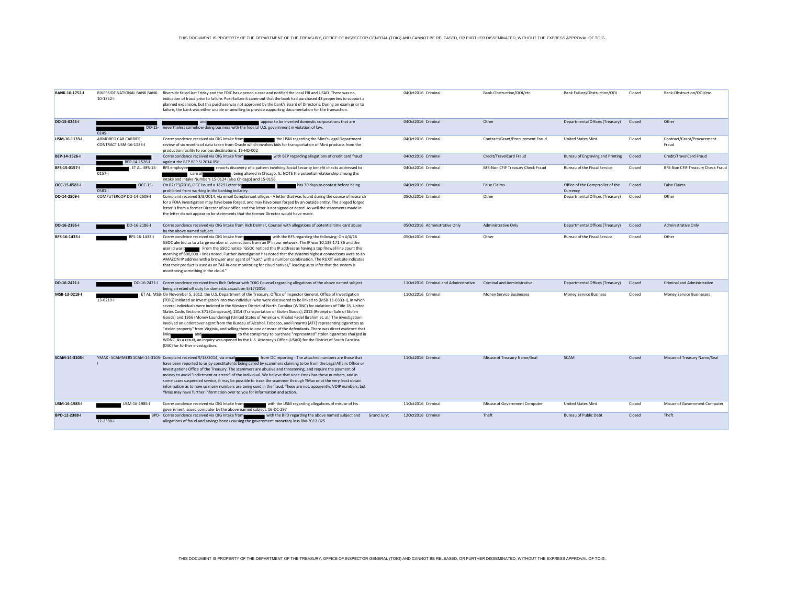| BANK-10-1752-I | $10-1752-$                                    | RIVERSIDE NATIONAL BANK BANK- Riverside failed last Friday and the FDIC has opened a case and notified the local FBI and USAO. There was no<br>indication of fraud prior to failure. Post-failure it came out that the bank had purchased 43 properties to support a<br>planned expansion, but this purchase was not approved by the bank's Board of Director's. During an exam prior to<br>failure, the bank was either unable or unwilling to provide supporting documentation for the transaction.                                                                                                                                                                                                                                                                                                                                                                                                                                                                                                                                                                                       | 04Oct2016 Criminal                    | Bank-Obstruction/OOI/etc.          | Bank Failure/Obstruction/OOI                 | Closed | Bank-Obstruction/OOI/etc.           |
|----------------|-----------------------------------------------|---------------------------------------------------------------------------------------------------------------------------------------------------------------------------------------------------------------------------------------------------------------------------------------------------------------------------------------------------------------------------------------------------------------------------------------------------------------------------------------------------------------------------------------------------------------------------------------------------------------------------------------------------------------------------------------------------------------------------------------------------------------------------------------------------------------------------------------------------------------------------------------------------------------------------------------------------------------------------------------------------------------------------------------------------------------------------------------------|---------------------------------------|------------------------------------|----------------------------------------------|--------|-------------------------------------|
| DO-15-0245-I   | DO-15-<br>$0245 -$                            | appear to be inverted domestic corporations that are<br>nevertheless somehow doing business with the federal U.S. government in violation of law.                                                                                                                                                                                                                                                                                                                                                                                                                                                                                                                                                                                                                                                                                                                                                                                                                                                                                                                                           | 04Oct2016 Criminal                    | Other                              | Departmental Offices (Treasury)              | Closed | Other                               |
| USM-16-1133-I  | ARMORED CAR CARRIER<br>CONTRACT USM-16-1133-I | Correspondence received via OIG Intake from<br>the USM regarding the Mint's Legal Department<br>review of six months of data taken from Oracle which involves bids for transportation of Mint products from the<br>production facility to various destinations. 16-HQ-002                                                                                                                                                                                                                                                                                                                                                                                                                                                                                                                                                                                                                                                                                                                                                                                                                   | 04Oct2016 Criminal                    | Contract/Grant/Procurement Fraud   | <b>United States Mint</b>                    | Closed | Contract/Grant/Procurement<br>Fraud |
| BEP-14-1526-I  | BEP-14-1526-I                                 | Correspondence received via OIG Intake from<br>with BEP regarding allegations of credit card fraud<br>against the BEP BEP SI 2014 056                                                                                                                                                                                                                                                                                                                                                                                                                                                                                                                                                                                                                                                                                                                                                                                                                                                                                                                                                       | 04Oct2016 Criminal                    | Credit/TravelCard Fraud            | Bureau of Engraving and Printing             | Closed | Credit/TravelCard Fraud             |
| BFS-15-0157-I  | ET AL. BFS-15-<br>$0157 -$                    | reports discovery of a pattern involving Social Security benefit checks addressed to<br><b>BFS</b> employee<br>, being altered in Chicago, IL. NOTE the potential relationship among this<br>care of<br>intake and Intake Numbers 15-0124 (also Chicago) and 15-0156.                                                                                                                                                                                                                                                                                                                                                                                                                                                                                                                                                                                                                                                                                                                                                                                                                       | 04Oct2016 Criminal                    | BFS-Non CFIF Treasury Check Fraud  | Bureau of the Fiscal Service                 | Closed | BFS-Non CFIF Treasury Check Fraud   |
| OCC-15-0581-I  | OCC-15-<br>$0581 -$                           | On 02/23/2016, OCC issued a 1829 Letter to<br>has 30 days to contest before being<br>prohibited from working in the banking industry.                                                                                                                                                                                                                                                                                                                                                                                                                                                                                                                                                                                                                                                                                                                                                                                                                                                                                                                                                       | 04Oct2016 Criminal                    | <b>False Claims</b>                | Office of the Comptroller of the<br>Currency | Closed | <b>False Claims</b>                 |
| DO-14-2509-I   | COMPUTERCOP DO-14-2509-I                      | Complaint received 8/8/2014, via email Complainant alleges - A letter that was found during the course of research<br>for a FOIA investigation may have been forged, and may have been forged by an outside entity. The alleged forged<br>letter is from a former Director of our office and the letter is not signed or dated. As well the statements made in<br>the letter do not appear to be statements that the former Director would have made.                                                                                                                                                                                                                                                                                                                                                                                                                                                                                                                                                                                                                                       | 05Oct2016 Criminal                    | Other                              | Departmental Offices (Treasury)              | Closed | Other                               |
| DO-16-2186-I   | DO-16-2186-I                                  | Correspondence received via OIG Intake from Rich Delmar, Counsel with allegations of potential time card abuse<br>by the above named subject.                                                                                                                                                                                                                                                                                                                                                                                                                                                                                                                                                                                                                                                                                                                                                                                                                                                                                                                                               | 05Oct2016 Administrative Only         | Administrative Only                | Departmental Offices (Treasury)              | Closed | <b>Administrative Only</b>          |
| BFS-16-1433-I  | BFS-16-1433-I                                 | Correspondence received via OIG Intake from<br>with the BFS regarding the following: On 4/4/16<br>GSOC alerted us to a large number of connections from an IP in our network. The IP was 10.139.171.86 and the<br>From the GSOC notice "GSOC noticed this IP address as having a top firewall line count this<br>user id was b<br>morning of 800,000 + lines noted. Further investigation has noted that the systems highest connections were to an<br>AMAZON IP address with a browser user agent of "ruxit" with a number combination. The RUXIT website indicates<br>that their product is used as an "All-in-one monitoring for cloud natives," leading us to infer that the system is<br>monitoring something in the cloud."                                                                                                                                                                                                                                                                                                                                                           | 05Oct2016 Criminal                    | Other                              | Bureau of the Fiscal Service                 | Closed | Other                               |
| DO-16-2421-I   | DO-16-2421-I                                  | Correspondence received from Rich Delmar with TOIG Counsel regarding allegations of the above named subject<br>being arrested off duty for domestic assault on 5/17/2016                                                                                                                                                                                                                                                                                                                                                                                                                                                                                                                                                                                                                                                                                                                                                                                                                                                                                                                    | 11Oct2016 Criminal and Administrative | <b>Criminal and Administrative</b> | Departmental Offices (Treasury)              | Closed | Criminal and Administrative         |
| MSB-13-0219-I  | 13-0219-                                      | ET AL. MSB-On November 5, 2012, the U.S. Department of the Treasury, Office of Inspector General, Office of Investigation<br>(TOIG) initiated an investigation into two individual who were discovered to be linked to (MSB-11-0333-I), in which<br>several individuals were indicted in the Western District of North Carolina (WDNC) for violations of Title 18, United<br>States Code, Sections 371 (Conspiracy), 2314 (Transportation of Stolen Goods), 2315 (Receipt or Sale of Stolen<br>Goods) and 1956 (Money Laundering) (United States of America v. Khaled Fadel Ibrahim et. al.) The investigation<br>involved an undercover agent from the Bureau of Alcohol, Tobacco, and Firearms (ATF) representing cigarettes as<br>"stolen property" from Virginia, and selling them to one or more of the defendants. There was direct evidence that<br>to the conspiracy to purchase "represented" stolen cigarettes charged in<br>WDNC. As a result, an inquiry was opened by the U.S. Attorney's Office (USAO) for the District of South Carolina<br>(DSC) for further investigation. | 11Oct2016 Criminal                    | Money Service Businesses           | <b>Money Service Business</b>                | Closed | <b>Money Service Businesses</b>     |
| SCAM-14-3105-I |                                               | YMAX - SCAMMERS SCAM-14-3105- Complaint received 9/18/2014, via email from OC reporting - The attached numbers are those that<br>have been reported to us by constitutents being called by scammers claiming to be from the Legal Affairs Office or<br>Investigations Office of the Treasury. The scammers are abusive and threatening, and require the payment of<br>money to avoid "indictment or arrest" of the individual. We believe that since Ymax has these numbers, and in<br>some cases suspended service, it may be possible to track the scammer through YMax or at the very least obtain<br>information as to how so many numbers are being used in the fraud. These are not, apparently, VOIP numbers, but<br>YMax may have further information over to you for information and action.                                                                                                                                                                                                                                                                                       | 11Oct2016 Criminal                    | Misuse of Treasury Name/Seal       | SCAM                                         | Closed | Misuse of Treasury Name/Seal        |
| USM-16-1985-I  | USM-16-1985-I                                 | with the USM regarding allegations of misuse of his<br>Correspondence received via OIG Intake from<br>government issued computer by the above named subject. 16-DC-297                                                                                                                                                                                                                                                                                                                                                                                                                                                                                                                                                                                                                                                                                                                                                                                                                                                                                                                      | 11Oct2016 Criminal                    | Misuse of Government Computer      | <b>United States Mint</b>                    | Closed | Misuse of Government Computer       |
| BPD-12-2388-I  | 12-2388-1                                     | BPD- Correspondence received via OIG Intake from<br>with the BPD regarding the above named subject and<br>Grand Jury:<br>allegations of fraud and savings bonds causing the government monetary loss RM-2012-025                                                                                                                                                                                                                                                                                                                                                                                                                                                                                                                                                                                                                                                                                                                                                                                                                                                                            | 12Oct2016 Criminal                    | Theft                              | <b>Bureau of Public Debt</b>                 | Closed | Theft                               |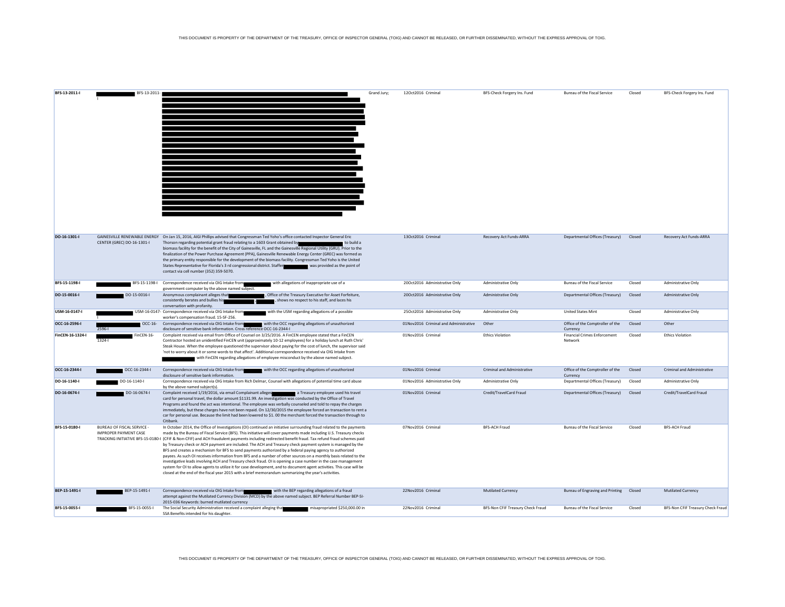| BFS-13-2011-I    |                                                     |                                                                                                                                                                                                                                                                                                                                                                                                                                                                                                                                                                                                                                                                                                                                                                                                                                                                                                                                                                                                                                                                                                   | Grand Jury; | 12Oct2016 Criminal                    |                                   | Bureau of the Fiscal Service                   | Closed |                                    |
|------------------|-----------------------------------------------------|---------------------------------------------------------------------------------------------------------------------------------------------------------------------------------------------------------------------------------------------------------------------------------------------------------------------------------------------------------------------------------------------------------------------------------------------------------------------------------------------------------------------------------------------------------------------------------------------------------------------------------------------------------------------------------------------------------------------------------------------------------------------------------------------------------------------------------------------------------------------------------------------------------------------------------------------------------------------------------------------------------------------------------------------------------------------------------------------------|-------------|---------------------------------------|-----------------------------------|------------------------------------------------|--------|------------------------------------|
|                  | BFS-13-2011                                         |                                                                                                                                                                                                                                                                                                                                                                                                                                                                                                                                                                                                                                                                                                                                                                                                                                                                                                                                                                                                                                                                                                   |             |                                       | BFS-Check Forgery Ins. Fund       |                                                |        | BFS-Check Forgery Ins. Fund        |
|                  |                                                     |                                                                                                                                                                                                                                                                                                                                                                                                                                                                                                                                                                                                                                                                                                                                                                                                                                                                                                                                                                                                                                                                                                   |             |                                       |                                   |                                                |        |                                    |
| DO-16-1301-I     | CENTER (GREC) DO-16-1301-I                          | GAINESVILLE RENEWABLE ENERGY On Jan 15, 2016, AIGI Phillips advised that Congressman Ted Yoho's office contacted Inspector General Eric<br>Thorson regarding potential grant fraud relating to a 1603 Grant obtained by<br>to build a<br>biomass facility for the benefit of the City of Gainesville, FL and the Gainesville Regional Utility (GRU). Prior to the<br>finalization of the Power Purchase Agreement (PPA), Gainesville Renewable Energy Center (GREC) was formed as<br>the primary entity responsible for the development of the biomass facility. Congressman Ted Yoho is the United<br>States Representative for Florida's 3 rd congressional district. Staffer was provided as the point of<br>contact via cell number (352) 359-5070.                                                                                                                                                                                                                                                                                                                                           |             | 13Oct2016 Criminal                    | Recovery Act Funds-ARRA           | Departmental Offices (Treasury) Closed         |        | Recovery Act Funds-ARRA            |
| BFS-15-1198-I    | BFS-15-1198-I                                       | Correspondence received via OIG Intake from<br>with allegations of inappropriate use of a<br>government computer by the above named subject.                                                                                                                                                                                                                                                                                                                                                                                                                                                                                                                                                                                                                                                                                                                                                                                                                                                                                                                                                      |             | 20Oct2016 Administrative Only         | Administrative Only               | Bureau of the Fiscal Service                   | Closed | Administrative Only                |
| DO-15-0016-I     | DO-15-0016-I                                        | Anonymous complainant alleges that<br>, Office of the Treasury Executive for Asset Forfeiture,<br>consistently berates and bullies his<br>shows no respect to his staff, and laces his<br>conversation with profanity.                                                                                                                                                                                                                                                                                                                                                                                                                                                                                                                                                                                                                                                                                                                                                                                                                                                                            |             | 20Oct2016 Administrative Only         | Administrative Only               | Departmental Offices (Treasury)                | Closed | <b>Administrative Only</b>         |
| USM-16-0147-I    |                                                     | USM-16-0147- Correspondence received via OIG Intake from<br>with the USM regarding allegations of a possible<br>worker's compensation fraud. 15-SF-256.                                                                                                                                                                                                                                                                                                                                                                                                                                                                                                                                                                                                                                                                                                                                                                                                                                                                                                                                           |             | 25Oct2016 Administrative Only         | Administrative Only               | <b>United States Mint</b>                      | Closed | Administrative Only                |
| OCC-16-2596-I    | OCC-16-<br>2596-                                    | Correspondence received via OIG Intake from with the OCC regarding allegations of unauthorized<br>disclosure of sensitive bank information. Cross reference OCC-16-2344-I                                                                                                                                                                                                                                                                                                                                                                                                                                                                                                                                                                                                                                                                                                                                                                                                                                                                                                                         |             | 01Nov2016 Criminal and Administrative | Other                             | Office of the Comptroller of the<br>Currency   | Closed | Other                              |
| FinCEN-16-1324-I | FinCEN-16-<br>$1324 -$                              | Complaint received via email from Office of Counsel on 3/25/2016. A FinCEN employee stated that a FinCEN<br>Contractor hosted an unidentified FinCEN unit (approximately 10-12 employees) for a holiday lunch at Ruth Chris'<br>Steak House. When the employee questioned the supervisor about paying for the cost of lunch, the supervisor said<br>'not to worry about it or some words to that affect'. Additional correspondence received via OIG Intake from<br>with FinCEN regarding allegations of employee misconduct by the above named subject.                                                                                                                                                                                                                                                                                                                                                                                                                                                                                                                                          |             | 01Nov2016 Criminal                    | <b>Ethics Violation</b>           | <b>Financial Crimes Enforcement</b><br>Network | Closed | <b>Ethics Violation</b>            |
| OCC-16-2344-I    | OCC-16-2344-I                                       | Correspondence received via OIG Intake from with the OCC regarding allegations of unauthorized<br>disclosure of sensitive bank information.                                                                                                                                                                                                                                                                                                                                                                                                                                                                                                                                                                                                                                                                                                                                                                                                                                                                                                                                                       |             | 01Nov2016 Criminal                    | Criminal and Administrative       | Office of the Comptroller of the<br>Currency   | Closed | <b>Criminal and Administrative</b> |
| DO-16-1140-I     | DO-16-1140-I                                        | Correspondence received via OIG Intake from Rich Delmar, Counsel with allegations of potential time card abuse<br>by the above named subject(s).                                                                                                                                                                                                                                                                                                                                                                                                                                                                                                                                                                                                                                                                                                                                                                                                                                                                                                                                                  |             | 01Nov2016 Administrative Only         | Administrative Only               | Departmental Offices (Treasury)                | Closed | <b>Administrative Only</b>         |
| DO-16-0674-I     | DO-16-0674-I                                        | Complaint received 1/19/2016, via email Complainant alleges and a Treasury employee used his travel<br>card for personal travel, the dollar amount \$1131.99. An investigation was conducted by the Office of Travel<br>Programs and found the act was intentional. The employee was verbally counseled and told to repay the charges<br>immediately, but these charges have not been repaid. On 12/30/2015 the employee forced an transaction to rent a<br>car for personal use. Because the limit had been lowered to \$1.00 the merchant forced the transaction through to<br>Citibank.                                                                                                                                                                                                                                                                                                                                                                                                                                                                                                        |             | 01Nov2016 Criminal                    | Credit/TravelCard Fraud           | Departmental Offices (Treasury)                | Closed | Credit/TravelCard Fraud            |
| BFS-15-0180-I    | BUREAU OF FISCAL SERVICE -<br>IMPROPER PAYMENT CASE | In October 2014, the Office of Investigations (OI) continued an initiative surrounding fraud related to the payments<br>made by the Bureau of Fiscal Service (BFS). This initiative will cover payments made including U.S. Treasury checks<br>TRACKING INITIATIVE BFS-15-0180-I (CFIF & Non-CFIF) and ACH fraudulent payments including redirected benefit fraud. Tax refund fraud schemes paid<br>by Treasury check or ACH payment are included. The ACH and Treasury check payment system is managed by the<br>BFS and creates a mechanism for BFS to send payments authorized by a federal paying agency to authorized<br>payees. As such OI receives information from BFS and a number of other sources on a monthly basis related to the<br>investigative leads involving ACH and Treasury check fraud. OI is opening a case number in the case management<br>system for OI to allow agents to utilize it for case development, and to document agent activities. This case will be<br>closed at the end of the fiscal year 2015 with a brief memorandum summarizing the year's activities. |             | 07Nov2016 Criminal                    | <b>BFS-ACH Fraud</b>              | Bureau of the Fiscal Service                   | Closed | <b>BFS-ACH Fraud</b>               |
| BEP-15-1491-I    | BEP-15-1491-I                                       | Correspondence received via OIG Intake from<br>with the BEP regarding allegations of a fraud<br>attempt against the Mutilated Currency Division (MCD) by the above named subject. BEP Referral Number BEP-SI-<br>2015-036 Keywords: burned mutilated currency                                                                                                                                                                                                                                                                                                                                                                                                                                                                                                                                                                                                                                                                                                                                                                                                                                     |             | 22Nov2016 Criminal                    | <b>Mutilated Currency</b>         | Bureau of Engraving and Printing Closed        |        | <b>Mutilated Currency</b>          |
| BFS-15-0055-I    | BFS-15-0055-I                                       | The Social Security Administration received a complaint alleging that many misapropriated \$250,000.00 in<br>SSA Benefits intended for his daughter.                                                                                                                                                                                                                                                                                                                                                                                                                                                                                                                                                                                                                                                                                                                                                                                                                                                                                                                                              |             | 22Nov2016 Criminal                    | BFS-Non CFIF Treasury Check Fraud | Bureau of the Fiscal Service                   | Closed | BFS-Non CFIF Treasury Check Fraud  |